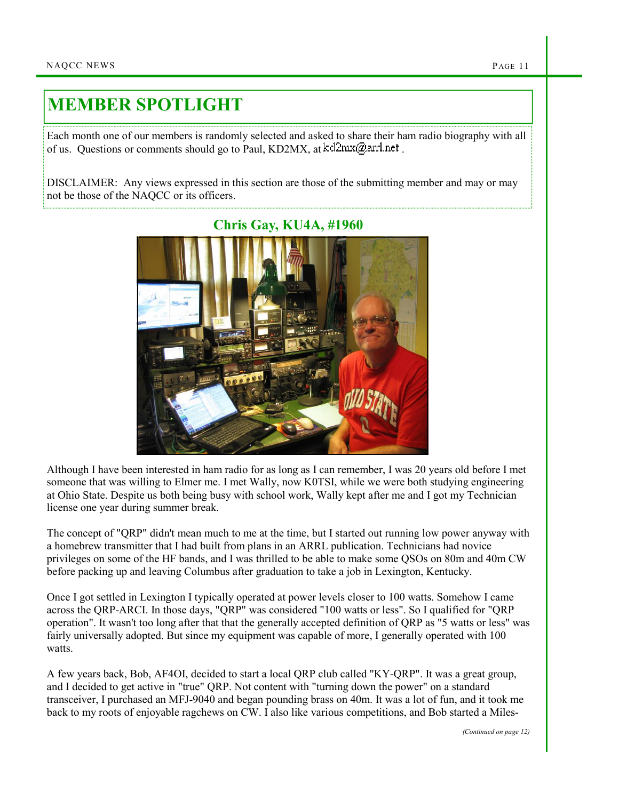## MEMBER SPOTLIGHT

Each month one of our members is randomly selected and asked to share their ham radio biography with all of us. Questions or comments should go to Paul, KD2MX, at  $kd2mx@ar1net$ .

DISCLAIMER: Any views expressed in this section are those of the submitting member and may or may not be those of the NAQCC or its officers.



Although I have been interested in ham radio for as long as I can remember, I was 20 years old before I met someone that was willing to Elmer me. I met Wally, now K0TSI, while we were both studying engineering at Ohio State. Despite us both being busy with school work, Wally kept after me and I got my Technician license one year during summer break.

The concept of "QRP" didn't mean much to me at the time, but I started out running low power anyway with a homebrew transmitter that I had built from plans in an ARRL publication. Technicians had novice privileges on some of the HF bands, and I was thrilled to be able to make some QSOs on 80m and 40m CW before packing up and leaving Columbus after graduation to take a job in Lexington, Kentucky.

Once I got settled in Lexington I typically operated at power levels closer to 100 watts. Somehow I came across the QRP-ARCI. In those days, "QRP" was considered "100 watts or less". So I qualified for "QRP operation". It wasn't too long after that that the generally accepted definition of QRP as "5 watts or less" was fairly universally adopted. But since my equipment was capable of more, I generally operated with 100 watts.

A few years back, Bob, AF4OI, decided to start a local QRP club called "KY-QRP". It was a great group, and I decided to get active in "true" QRP. Not content with "turning down the power" on a standard transceiver, I purchased an MFJ-9040 and began pounding brass on 40m. It was a lot of fun, and it took me back to my roots of enjoyable ragchews on CW. I also like various competitions, and Bob started a Miles